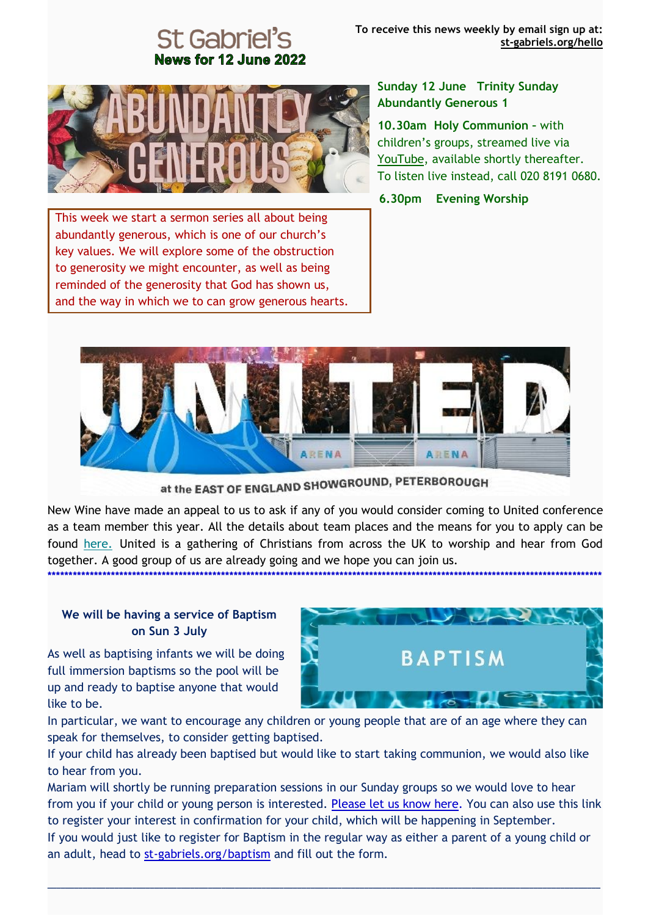# News for 12 June 2022



# **Sunday 12 June Trinity Sunday Abundantly Generous 1**

**10.30am Holy Communion –** with children's groups, streamed live via [YouTube,](https://st-gabriels.us19.list-manage.com/track/click?u=8be6c1f9211f8d2b867be0c19&id=0ad6262c78&e=8fbea94df1) available shortly thereafter. To listen live instead, call 020 8191 0680.

 **6.30pm Evening Worship**

This week we start a sermon series all about being abundantly generous, which is one of our church's key values. We will explore some of the obstruction to generosity we might encounter, as well as being reminded of the generosity that God has shown us, and the way in which we to can grow generous hearts.



at the EAST OF ENGLAND SHOWGROUND, PETERBOROUGH

New Wine have made an appeal to us to ask if any of you would consider coming to United conference as a team member this year. All the details about team places and the means for you to apply can be found [here.](https://st-gabriels.us19.list-manage.com/track/click?u=8be6c1f9211f8d2b867be0c19&id=29ef809abe&e=8fbea94df1) United is a gathering of Christians from across the UK to worship and hear from God together. A good group of us are already going and we hope you can join us.

**\*\*\*\*\*\*\*\*\*\*\*\*\*\*\*\*\*\*\*\*\*\*\*\*\*\*\*\*\*\*\*\*\*\*\*\*\*\*\*\*\*\*\*\*\*\*\*\*\*\*\*\*\*\*\*\*\*\*\*\*\*\*\*\*\*\*\*\*\*\*\*\*\*\*\*\*\*\*\*\*\*\*\*\*\*\*\*\*\*\*\*\*\*\*\*\*\*\*\*\*\*\*\*\*\*\*\*\*\*\*\*\*\*\*\*\*\*\*\*\*\*\*\*\*\*\*\*\*\*\*\***

## **We will be having a service of Baptism on Sun 3 July**

As well as baptising infants we will be doing full immersion baptisms so the pool will be up and ready to baptise anyone that would like to be.



In particular, we want to encourage any children or young people that are of an age where they can speak for themselves, to consider getting baptised.

If your child has already been baptised but would like to start taking communion, we would also like to hear from you.

Mariam will shortly be running preparation sessions in our Sunday groups so we would love to hear from you if your child or young person is interested. [Please let us know here.](https://st-gabriels.us19.list-manage.com/track/click?u=8be6c1f9211f8d2b867be0c19&id=8da3df9295&e=8fbea94df1) You can also use this link to register your interest in confirmation for your child, which will be happening in September. If you would just like to register for Baptism in the regular way as either a parent of a young child or an adult, head to [st-gabriels.org/baptism](https://st-gabriels.us19.list-manage.com/track/click?u=8be6c1f9211f8d2b867be0c19&id=8869cd5845&e=8fbea94df1) and fill out the form.

**\_\_\_\_\_\_\_\_\_\_\_\_\_\_\_\_\_\_\_\_\_\_\_\_\_\_\_\_\_\_\_\_\_\_\_\_\_\_\_\_\_\_\_\_\_\_\_\_\_\_\_\_\_\_\_\_\_\_\_\_\_\_\_\_\_\_\_\_\_\_\_\_\_\_\_\_\_\_\_\_\_\_\_\_\_\_\_\_\_\_\_\_\_\_\_\_\_\_\_\_\_\_\_\_\_\_\_\_\_\_\_\_\_\_\_\_\_\_\_\_\_\_\_\_**